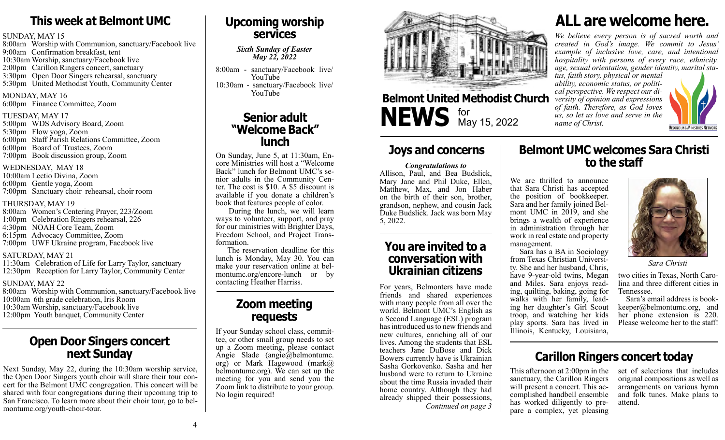# **This week at Belmont UMC**

#### SUNDAY, MAY 15

8:00am Worship with Communion, sanctuary/Facebook live 9:00am Confirmation breakfast, tent 10:30am Worship, sanctuary/Facebook live 2:00pm Carillon Ringers concert, sanctuary 3:30pm Open Door Singers rehearsal, sanctuary 5:30pm United Methodist Youth, Community Center

MONDAY, MAY 16 6:00pm Finance Committee, Zoom

#### TUESDAY, MAY 17

5:00pm WDS Advisory Board, Zoom 5:30pm Flow yoga, Zoom 6:00pm Staff Parish Relations Committee, Zoom 6:00pm Board of Trustees, Zoom 7:00pm Book discussion group, Zoom

#### WEDNESDAY, MAY 18

10:00am Lectio Divina, Zoom 6:00pm Gentle yoga, Zoom 7:00pm Sanctuary choir rehearsal, choir room

#### THURSDAY, MAY 19

8:00am Women's Centering Prayer, 223/Zoom 1:00pm Celebration Ringers rehearsal, 226 4:30pm NOAH Core Team, Zoom 6:15pm Advocacy Committee, Zoom 7:00pm UWF Ukraine program, Facebook live

#### SATURDAY, MAY 21

11:30am Celebration of Life for Larry Taylor, sanctuary 12:30pm Reception for Larry Taylor, Community Center

#### SUNDAY, MAY 22

8:00am Worship with Communion, sanctuary/Facebook live 10:00am 6th grade celebration, Iris Room

10:30am Worship, sanctuary/Facebook live

12:00pm Youth banquet, Community Center

## **Open Door Singers concert next Sunday**

Next Sunday, May 22, during the 10:30am worship service, the Open Door Singers youth choir will share their tour concert for the Belmont UMC congregation. This concert will be shared with four congregations during their upcoming trip to San Francisco. To learn more about their choir tour, go to belmontumc.org/youth-choir-tour.

## **Upcoming worship services**

*Sixth Sunday of Easter May 22, 2022*

8:00am - sanctuary/Facebook live/ YouTube 10:30am - sanctuary/Facebook live/ YouTube

## **Senior adult "Welcome Back" lunch**

On Sunday, June 5, at 11:30am, En- core Ministries will host a "Welcome Back" lunch for Belmont UMC's senior adults in the Community Center. The cost is \$10. A \$5 discount is available if you donate a children's book that features people of color.

 During the lunch, we will learn ways to volunteer, support, and pray for our ministries with Brighter Days, Freedom School, and Project Transformation.

 The reservation deadline for this lunch is Monday, May 30. You can montumc.org/encore-lunch or by contacting Heather Harriss.

## **Zoom meeting requests**

If your Sunday school class, commit- tee, or other small group needs to set up a Zoom meeting, please contact Angie Slade (angie@belmontumc. org) or Mark Hagewood (mark@ belmontumc.org). We can set up the meeting for you and send you the Zoom link to distribute to your group. No login required!



# **Belmont United Methodist Church NEWS** for May 15, 2022

## **Joys and concerns**

#### *Congratulations to*

Allison, Paul, and Bea Budslick, Mary Jane and Phil Duke, Ellen, Matthew, Max, and Jon Haber on the birth of their son, brother, grandson, nephew, and cousin Jack Duke Budslick. Jack was born May 5, 2022.

## **You are invited to a conversation with Ukrainian citizens** *Sara Christi* **Ukrainian citizens** *Sara Christi* **Ukrainian citizens**

*Continued on page 3* For years, Belmonters have made friends and shared experiences with many people from all over the world. Belmont UMC's English as a Second Language (ESL) program has introduced us to new friends and new cultures, enriching all of our lives. Among the students that ESL teachers Jane DuBose and Dick Bowers currently have is Ukrainian Sasha Gorkovenko. Sasha and her husband were to return to Ukraine about the time Russia invaded their home country. Although they had already shipped their possessions,

# **ALL are welcome here.**

*We believe every person is of sacred worth and created in God's image. We commit to Jesus' example of inclusive love, care, and intentional hospitality with persons of every race, ethnicity, age, sexual orientation, gender identity, marital sta- tus, faith story, physical or mental* 

*ability, economic status, or politi- cal perspective. We respect our di- versity of opinion and expressions of faith. Therefore, as God loves us, so let us love and serve in the name of Christ.*

**Belmont UMC welcomes Sara Christi to the staff**



We are thrilled to announce that Sara Christi has accepted the position of bookkeeper.<br>Sara and her family joined Belmont UMC in  $2019$ , and she brings a wealth of experience in administration through her work in real estate and property management.

 Sara has a BA in Sociology from Texas Christian University. She and her husband, Chris, have 9-year-old twins, Megan and Miles. Sara enjoys reading, quilting, baking, going for walks with her family, leading her daughter's Girl Scout troop, and watching her kids play sports. Sara has lived in

Illinois, Kentucky, Louisiana,



two cities in Texas, North Carolina and three different cities in Tennessee.<br>Sara's email address is book-

 $keeper@behontume.org, and$ her phone extension is 220. Please welcome her to the staff!

## **Carillon Ringers concert today**

This afternoon at 2:00pm in the sanctuary, the Carillon Ringers will present a concert. This accomplished handbell ensemble<br>has worked diligently to prepare a complex, yet pleasing

set of selections that includes original compositions as well as arrangements on various hymn and folk tunes. Make plans to attend.